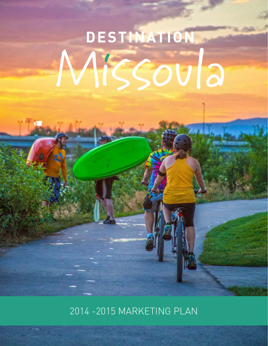# DESTINATION Missoula

2014 -2015 MARKETING PLAN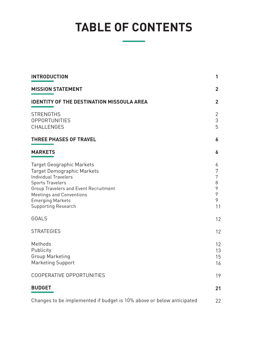# **TABLE OF CONTENTS**

| <b>INTRODUCTION</b>                                                                                                                                                                                                                                           | 1                                     |
|---------------------------------------------------------------------------------------------------------------------------------------------------------------------------------------------------------------------------------------------------------------|---------------------------------------|
| <b>MISSION STATEMENT</b>                                                                                                                                                                                                                                      | $\mathbf{2}$                          |
| <b>IDENTITY OF THE DESTINATION MISSOULA AREA</b>                                                                                                                                                                                                              |                                       |
| <b>STRENGTHS</b><br><b>OPPORTUNITIES</b><br>CHALLENGES                                                                                                                                                                                                        | 2<br>3<br>5                           |
| <b>THREE PHASES OF TRAVEL</b>                                                                                                                                                                                                                                 | 6                                     |
| <b>MARKETS</b>                                                                                                                                                                                                                                                | 6                                     |
| Target Geographic Markets<br><b>Target Demographic Markets</b><br><b>Individual Travelers</b><br><b>Sports Travelers</b><br>Group Travelers and Event Recruitment<br><b>Meetings and Conventions</b><br><b>Emerging Markets</b><br><b>Supporting Research</b> | 6<br>7<br>7<br>8<br>9<br>9<br>9<br>11 |
| <b>GOALS</b>                                                                                                                                                                                                                                                  | 12                                    |
| <b>STRATEGIES</b>                                                                                                                                                                                                                                             | 12                                    |
| Methods<br>Publicity<br><b>Group Marketing</b><br><b>Marketing Support</b>                                                                                                                                                                                    | 12 <sup>°</sup><br>13<br>15<br>16     |
| COOPERATIVE OPPORTUNITIES                                                                                                                                                                                                                                     | 19                                    |
| <b>BUDGET</b>                                                                                                                                                                                                                                                 | 21                                    |
| Changes to be implemented if budget is 10% above or below anticipated                                                                                                                                                                                         | 22                                    |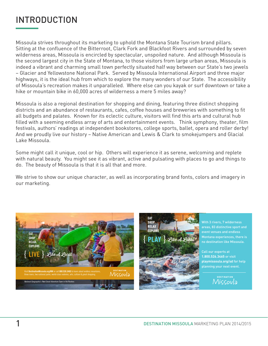# INTRODUCTION

Missoula strives throughout its marketing to uphold the Montana State Tourism brand pillars. Sitting at the confluence of the Bitterroot, Clark Fork and Blackfoot Rivers and surrounded by seven wilderness areas, Missoula is encircled by spectacular, unspoiled nature. And although Missoula is the second largest city in the State of Montana, to those visitors from large urban areas, Missoula is indeed a vibrant and charming small town perfectly situated half way between our State's two jewels – Glacier and Yellowstone National Park. Served by Missoula International Airport and three major highways, it is the ideal hub from which to explore the many wonders of our State. The accessibility of Missoula's recreation makes it unparalleled. Where else can you kayak or surf downtown or take a hike or mountain bike in 60,000 acres of wilderness a mere 5 miles away?

Missoula is also a regional destination for shopping and dining, featuring three distinct shopping districts and an abundance of restaurants, cafes, coffee houses and breweries with something to fit all budgets and palates. Known for its eclectic culture, visitors will find this arts and cultural hub filled with a seeming endless array of arts and entertainment events. Think symphony, theater, film festivals, authors' readings at independent bookstores, college sports, ballet, opera and roller derby! And we proudly live our history – Native American and Lewis & Clark to smokejumpers and Glacial Lake Missoula.

Some might call it unique, cool or hip. Others will experience it as serene, welcoming and replete with natural beauty. You might see it as vibrant, active and pulsating with places to go and things to do. The beauty of Missoula is that it is all that and more.

We strive to show our unique character, as well as incorporating brand fonts, colors and imagery in our marketing.





With 3 rivers, 7 wilderness areas, 83 distinctive sport and event venues and endless Montana experiences, there is no destination like Missoula.

Call our experts at **1.800.526.3465** or visit **playmissoula.org/sd** for help planning your next event.

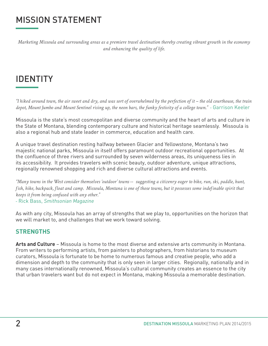# MISSION STATEMENT

*Marketing Missoula and surrounding areas as a premiere travel destination thereby creating vibrant growth in the economy and enhancing the quality of life.* 

# IDENTITY

*"I hiked around town, the air sweet and dry, and was sort of overwhelmed by the perfection of it – the old courthouse, the train depot, Mount Jumbo and Mount Sentinel rising up, the neon bars, the funky festivity of a college town." -* Garrison Keeler

Missoula is the state's most cosmopolitan and diverse community and the heart of arts and culture in the State of Montana, blending contemporary culture and historical heritage seamlessly. Missoula is also a regional hub and state leader in commerce, education and health care.

A unique travel destination resting halfway between Glacier and Yellowstone, Montana's two majestic national parks, Missoula in itself offers paramount outdoor recreational opportunities. At the confluence of three rivers and surrounded by seven wilderness areas, its uniqueness lies in its accessibility. It provides travelers with scenic beauty, outdoor adventure, unique attractions, regionally renowned shopping and rich and diverse cultural attractions and events.

*"Many towns in the West consider themselves 'outdoor' towns -- suggesting a citizenry eager to bike, run, ski, paddle, hunt, fish, hike, backpack, float and camp. Missoula, Montana is one of those towns, but it possesses some indefinable spirit that keeps it from being confused with any other."*

*-* Rick Bass, *Smithsonian Magazine*

As with any city, Missoula has an array of strengths that we play to, opportunities on the horizon that we will market to, and challenges that we work toward solving.

## **STRENGTHS**

**Arts and Culture** – Missoula is home to the most diverse and extensive arts community in Montana. From writers to performing artists, from painters to photographers, from historians to museum curators, Missoula is fortunate to be home to numerous famous and creative people, who add a dimension and depth to the community that is only seen in larger cities. Regionally, nationally and in many cases internationally renowned, Missoula's cultural community creates an essence to the city that urban travelers want but do not expect in Montana, making Missoula a memorable destination.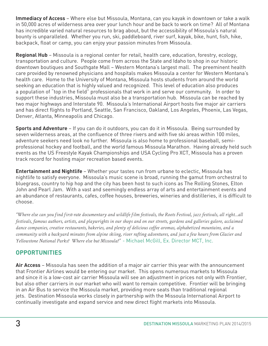**Immediacy of Access** – Where else but Missoula, Montana, can you kayak in downtown or take a walk in 50,000 acres of wilderness area over your lunch hour and be back to work on time? All of Montana has incredible varied natural resources to brag about, but the accessibility of Missoula's natural bounty is unparalleled. Whether you run, ski, paddleboard, river surf, kayak, bike, hunt, fish, hike, backpack, float or camp, you can enjoy your passion minutes from Missoula.

**Regional Hub** – Missoula is a regional center for retail, health care, education, forestry, ecology, transportation and culture. People come from across the State and Idaho to shop in our historic downtown boutiques and Southgate Mall – Western Montana's largest mall. The preeminent health care provided by renowned physicians and hospitals makes Missoula a center for Western Montana's health care. Home to the University of Montana, Missoula hosts students from around the world seeking an education that is highly valued and recognized. This level of education also produces a population of "top in the field" professionals that work in and serve our community. In order to support these industries, Missoula must also be a transportation hub. Missoula can be reached by two major highways and Interstate 90. Missoula's International Airport hosts five major air carriers and has direct flights to Portland, Seattle, San Francisco, Oakland, Los Angeles, Phoenix, Las Vegas, Denver, Atlanta, Minneapolis and Chicago.

**Sports and Adventure** – If you can do it outdoors, you can do it in Missoula. Being surrounded by seven wilderness areas, at the confluence of three rivers and with five ski areas within 100 miles, adventure seekers need look no further. Missoula is also home to professional baseball, semiprofessional hockey and football, and the world famous Missoula Marathon. Having already held such events as the US Freestyle Kayak Championships and USA Cycling Pro XCT, Missoula has a proven track record for hosting major recreation based events.

**Entertainment and Nightlife** – Whether your tastes run from urbane to eclectic, Missoula has nightlife to satisfy everyone. Missoula's music scene is broad, running the gamut from orchestral to bluegrass, country to hip hop and the city has been host to such icons as The Rolling Stones, Elton John and Pearl Jam. With a vast and seemingly endless array of arts and entertainment events and an abundance of restaurants, cafes, coffee houses, breweries, wineries and distilleries, it is difficult to choose.

*"Where else can you find first-rate documentary and wildlife film festivals, the Roots Festival, jazz festivals, all right…all festivals, famous authors, artists, and playwrights in our shops and on our streets, gardens and galleries galore, acclaimed dance companies, creative restaurants, bakeries, and plenty of delicious coffee aromas, alphabetized mountains, and a community with a backyard minutes from alpine skiing, river rafting adventures, and just a few hours from Glacier and Yellowstone National Parks? Where else but Missoula?"* - Michael McGill, Ex. Director MCT, Inc.

## **OPPORTUNITIES**

**Air Access** – Missoula has seen the addition of a major air carrier this year with the announcement that Frontier Airlines would be entering our market. This opens numerous markets to Missoula and since it is a low-cost air carrier Missoula will see an adjustment in prices not only with Frontier, but also other carriers in our market who will want to remain competitive. Frontier will be bringing in an Air Bus to service the Missoula market, providing more seats than traditional regional jets. Destination Missoula works closely in partnership with the Missoula International Airport to continually investigate and expand service and new direct flight markets into Missoula.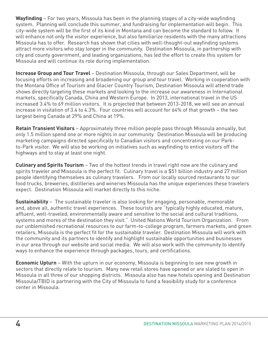**Wayfinding** – For two years, Missoula has been in the planning stages of a city-wide wayfinding system. Planning will conclude this summer, and fundraising for implementation will begin. This city-wide system will be the first of its kind in Montana and can become the standard to follow. It will enhance not only the visitor experience, but also familiarize residents with the many attractions Missoula has to offer. Research has shown that cities with well-thought-out wayfinding systems attract more visitors who stay longer in the community. Destination Missoula, in partnership with city and county government, and leading organizations, has led the effort to create this system for Missoula and will continue its role during implementation.

**Increase Group and Tour Travel** – Destination Missoula, through our Sales Department, will be focusing efforts on increasing and broadening our group and tour travel. Working in cooperation with the Montana Office of Tourism and Glacier Country Tourism, Destination Missoula will attend trade shows directly targeting these markets and looking to the increase our awareness in International markets, specifically Canada, China and Western Europe. In 2013, international travel in the US increased 3.4% to 69 million visitors. It is projected that between 2013-2018, we will see an annual increase in visitation of 3.4 to 4.3%. Four countries will account for 64% of that growth – the two largest being Canada at 29% and China at 19%.

**Retain Transient Visitors** – Approximately three million people pass through Missoula annually, but only 1.5 million spend one or more nights in our community. Destination Missoula will be producing marketing campaigns directed specifically to Canadian visitors and concentrating on our Parkto-Park visitor. We will also be working on initiatives such as wayfinding to entice visitors off the highways and to stay at least one night.

**Culinary and Spirits Tourism** – Two of the hottest trends in travel right now are the culinary and spirits traveler and Missoula is the perfect fit. Culinary travel is a \$51 billion industry and 27 million people identifying themselves as culinary travelers. From our locally sourced restaurants to our food trucks, breweries, distilleries and wineries Missoula has the unique experiences these travelers expect. Destination Missoula will market directly to this niche.

**Sustainability** – The sustainable traveler is also looking for engaging, personable, memorable and, above all, authentic travel experiences. These tourists are "typically highly educated, mature, affluent, well-traveled, environmentally aware and sensitive to the social and cultural traditions, systems and mores of the destination they visit." United Nations World Tourism Organization. From our unblemished recreational resources to our farm-to-college program, farmers markets, and green retailers, Missoula is the perfect fit for the sustainable traveler. Destination Missoula will work with the community and its partners to identify and highlight sustainable opportunities and businesses in our area through our website and social media. We will also work with the community to identify ways to enhance the experience through packages, tours, and certifications.

**Economic Upturn** – With the upturn in our economy, Missoula is beginning to see new growth in sectors that directly relate to tourism. Many new retail stores have opened or are slated to open in Missoula in all three of our shopping districts. Missoula also has new hotels opening and Destination Missoula/TBID is partnering with the City of Missoula to fund a feasibility study for a conference center in Missoula.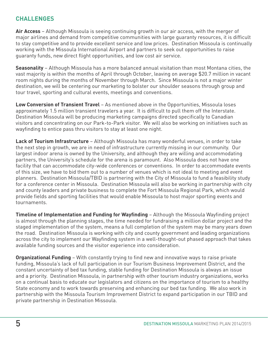### **CHALLENGES**

**Air Access** – Although Missoula is seeing continuing growth in our air access, with the merger of major airlines and demand from competitive communities with large guaranty resources, it is difficult to stay competitive and to provide excellent service and low prices. Destination Missoula is continually working with the Missoula International Airport and partners to seek out opportunities to raise guaranty funds, new direct flight opportunities, and low cost air service.

**Seasonality** – Although Missoula has a more balanced annual visitation than most Montana cities, the vast majority is within the months of April through October, leaving on average \$20.7 million in vacant room nights during the months of November through March. Since Missoula is not a major winter destination, we will be centering our marketing to bolster our shoulder seasons through group and tour travel, sporting and cultural events, meetings and conventions.

**Low Conversion of Transient Travel** – As mentioned above in the Opportunities, Missoula loses approximately 1.5 million transient travelers a year. It is difficult to pull them off the Interstate. Destination Missoula will be producing marketing campaigns directed specifically to Canadian visitors and concentrating on our Park-to-Park visitor. We will also be working on initiatives such as wayfinding to entice pass thru visitors to stay at least one night.

**Lack of Tourism Infrastructure** – Although Missoula has many wonderful venues, in order to take the next step in growth, we are in need of infrastructure currently missing in our community. Our largest indoor arena is owned by the University, and although they are willing and accommodating partners, the University's schedule for the arena is paramount. Also Missoula does not have one facility that can accommodate city-wide conferences or conventions. In order to accommodate events of this size, we have to bid them out to a number of venues which is not ideal to meeting and event planners. Destination Missoula/TBID is partnering with the City of Missoula to fund a feasibility study for a conference center in Missoula. Destination Missoula will also be working in partnership with city and county leaders and private business to complete the Fort Missoula Regional Park, which would provide fields and sporting facilities that would enable Missoula to host major sporting events and tournaments.

**Timeline of Implementation and Funding for Wayfinding** – Although the Missoula Wayfinding project is almost through the planning stages, the time needed for fundraising a million dollar project and the staged implementation of the system, means a full completion of the system may be many years down the road. Destination Missoula is working with city and county government and leading organizations across the city to implement our Wayfinding system in a well-thought-out phased approach that takes available funding sources and the visitor experience into consideration.

**Organizational Funding** – With constantly trying to find new and innovative ways to raise private funding, Missoula's lack of full participation in our Tourism Business Improvement District, and the constant uncertainty of bed tax funding, stable funding for Destination Missoula is always an issue and a priority. Destination Missoula, in partnership with other tourism industry organizations, works on a continual basis to educate our legislators and citizens on the importance of tourism to a healthy State economy and to work towards preserving and enhancing our bed tax funding. We also work in partnership with the Missoula Tourism Improvement District to expand participation in our TBID and private partnership in Destination Missoula.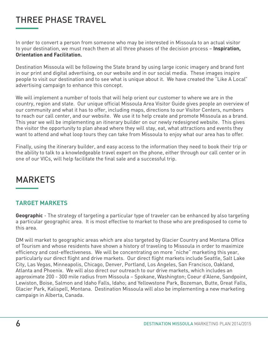# THREE PHASE TRAVEL

In order to convert a person from someone who may be interested in Missoula to an actual visitor to your destination, we must reach them at all three phases of the decision process – **Inspiration, Orientation and Facilitation.** 

Destination Missoula will be following the State brand by using large iconic imagery and brand font in our print and digital advertising, on our website and in our social media. These images inspire people to visit our destination and to see what is unique about it. We have created the "Like A Local" advertising campaign to enhance this concept.

We will implement a number of tools that will help orient our customer to where we are in the country, region and state. Our unique official Missoula Area Visitor Guide gives people an overview of our community and what it has to offer, including maps, directions to our Visitor Centers, numbers to reach our call center, and our website. We use it to help create and promote Missoula as a brand. This year we will be implementing an itinerary builder on our newly redesigned website. This gives the visitor the opportunity to plan ahead where they will stay, eat, what attractions and events they want to attend and what loop tours they can take from Missoula to enjoy what our area has to offer.

Finally, using the itinerary builder, and easy access to the information they need to book their trip or the ability to talk to a knowledgeable travel expert on the phone, either through our call center or in one of our VICs, will help facilitate the final sale and a successful trip.

# **MARKETS**

#### **TARGET MARKETS**

**Geographic** - The strategy of targeting a particular type of traveler can be enhanced by also targeting a particular geographic area. It is most effective to market to those who are predisposed to come to this area.

DM will market to geographic areas which are also targeted by Glacier Country and Montana Office of Tourism and whose residents have shown a history of traveling to Missoula in order to maximize efficiency and cost-effectiveness. We will be concentrating on more "niche" marketing this year, particularly our direct flight and drive markets. Our direct flight markets include Seattle, Salt Lake City, Las Vegas, Minneapolis, Chicago, Denver, Portland, Los Angeles, San Francisco, Oakland, Atlanta and Phoenix. We will also direct our outreach to our drive markets, which includes an approximate 200 - 300 mile radius from Missoula – Spokane, Washington; Coeur d'Alene, Sandpoint, Lewiston, Boise, Salmon and Idaho Falls, Idaho; and Yellowstone Park, Bozeman, Butte, Great Falls, Glacier Park, Kalispell, Montana. Destination Missoula will also be implementing a new marketing campaign in Alberta, Canada.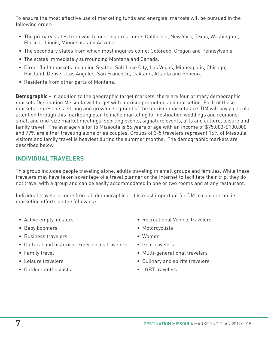To ensure the most effective use of marketing funds and energies, markets will be pursued in the following order:

- The primary states from which most inquires come: California, New York, Texas, Washington, Florida, Illinois, Minnesota and Arizona.
- The secondary states from which most inquires come: Colorado, Oregon and Pennsylvania.
- The states immediately surrounding Montana and Canada.
- Direct flight markets including Seattle, Salt Lake City, Las Vegas, Minneapolis, Chicago, Portland, Denver, Los Angeles, San Francisco, Oakland, Atlanta and Phoenix.
- Residents from other parts of Montana.

**Demographic** - In addition to the geographic target markets, there are four primary demographic markets Destination Missoula will target with tourism promotion and marketing. Each of these markets represents a strong and growing segment of the tourism marketplace. DM will pay particular attention through this marketing plan to niche marketing for destination weddings and reunions, small and mid-size market meetings, sporting events, signature events, arts and culture, leisure and family travel. The average visitor to Missoula is 56 years of age with an income of \$75,000-\$100,000 and 79% are either traveling alone or as couples. Groups of 3-5 travelers represent 16% of Missoula visitors and family travel is heaviest during the summer months. The demographic markets are described below.

#### **INDIVIDUAL TRAVELERS**

This group includes people traveling alone, adults traveling in small groups and families. While these travelers may have taken advantage of a travel planner or the Internet to facilitate their trip, they do not travel with a group and can be easily accommodated in one or two rooms and at any restaurant.

Individual travelers come from all demographics. It is most important for DM to concentrate its marketing efforts on the following:

- Active empty-nesters
- Baby boomers
- Business travelers
- Cultural and historical experiences travelers
- Family travel
- Leisure travelers
- Outdoor enthusiasts.
- Recreational Vehicle travelers
- Motorcyclists
- Women
- Geo-travelers
- Multi-generational travelers
- Culinary and spirits travelers
- LGBT travelers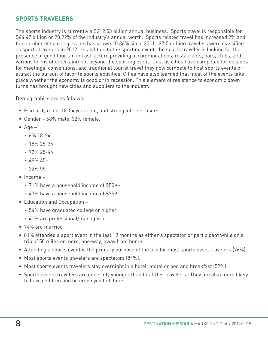## **SPORTS TRAVELERS**

The sports industry is currently a \$212.53 billion annual business. Sports travel is responsible for \$44.47 billion or 20.92% of the industry's annual worth. Sports related travel has increased 9% and the number of sporting events has grown 10.36% since 2011. 27.5 million travelers were classified as sports travelers in 2012. In addition to the sporting event, the sports traveler is looking for the presence of good tourism infrastructure providing accommodations, restaurants, bars, clubs, and various forms of entertainment beyond the sporting event. Just as cities have competed for decades for meetings, conventions, and traditional tourist travel they now compete to host sports events or attract the pursuit of favorite sports activities. Cities have also learned that most of the events take place whether the economy is good or in recession. This element of resistance to economic down turns has brought new cities and suppliers to the industry.

Demographics are as follows:

- Primarily male, 18-54 years old, and strong internet users.
- Gender 68% male, 32% female.
- Age
	- **·** 6% 18-24
	- **·** 18% 25-34
	- **·** 72% 25-44
	- **·** 49% 45+
	- **·** 22% 55+
- Income
	- **·** 71% have a household income of \$50K+
	- **·** 47% have a household income of \$75K+
- Education and Occupation
	- **·** 54% have graduated college or higher
	- **·** 41% are professional/managerial
- 74% are married
- 81% attended a sport event in the last 12 months as either a spectator or participant while on a trip of 50 miles or more, one-way, away from home.
- Attending a sports event is the primary purpose of the trip for most sports event travelers (76%).
- Most sports events travelers are spectators (84%).
- Most sports events travelers stay overnight in a hotel, motel or bed and breakfast (52%).
- Sports events travelers are generally younger than total U.S. travelers. They are also more likely to have children and be employed full-time.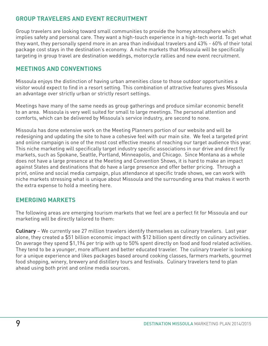## **GROUP TRAVELERS AND EVENT RECRUITMENT**

Group travelers are looking toward small communities to provide the homey atmosphere which implies safety and personal care. They want a high-touch experience in a high-tech world. To get what they want, they personally spend more in an area than individual travelers and 43% - 60% of their total package cost stays in the destination's economy. A niche markets that Missoula will be specifically targeting in group travel are destination weddings, motorcycle rallies and new event recruitment.

#### **MEETINGS AND CONVENTIONS**

Missoula enjoys the distinction of having urban amenities close to those outdoor opportunities a visitor would expect to find in a resort setting. This combination of attractive features gives Missoula an advantage over strictly urban or strictly resort settings.

Meetings have many of the same needs as group gatherings and produce similar economic benefit to an area. Missoula is very well suited for small to large meetings. The personal attention and comforts, which can be delivered by Missoula's service industry, are second to none.

Missoula has done extensive work on the Meeting Planners portion of our website and will be redesigning and updating the site to have a cohesive feel with our main site. We feel a targeted print and online campaign is one of the most cost effective means of reaching our target audience this year. This niche marketing will specifically target industry specific associations in our drive and direct fly markets, such as Spokane, Seattle, Portland, Minneapolis, and Chicago. Since Montana as a whole does not have a large presence at the Meeting and Convention Shows, it is hard to make an impact against States and destinations that do have a large presence and offer better pricing. Through a print, online and social media campaign, plus attendance at specific trade shows, we can work with niche markets stressing what is unique about Missoula and the surrounding area that makes it worth the extra expense to hold a meeting here.

## **EMERGING MARKETS**

The following areas are emerging tourism markets that we feel are a perfect fit for Missoula and our marketing will be directly tailored to them:

**Culinary** – We currently see 27 million travelers identify themselves as culinary travelers. Last year alone, they created a \$51 billion economic impact with \$12 billion spent directly on culinary activities. On average they spend \$1,194 per trip with up to 50% spent directly on food and food related activities. They tend to be a younger, more affluent and better educated traveler. The culinary traveler is looking for a unique experience and likes packages based around cooking classes, farmers markets, gourmet food shopping, winery, brewery and distillery tours and festivals. Culinary travelers tend to plan ahead using both print and online media sources.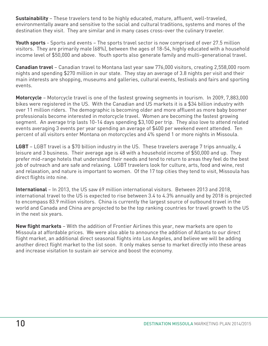**Sustainability** – These travelers tend to be highly educated, mature, affluent, well-traveled, environmentally aware and sensitive to the social and cultural traditions, systems and mores of the destination they visit. They are similar and in many cases cross-over the culinary traveler.

**Youth sports** - Sports and events – The sports travel sector is now comprised of over 27.5 million visitors. They are primarily male (68%), between the ages of 18-54, highly educated with a household income level of \$50,000 and above. Youth sports also generate family and multi-generational travel.

**Canadian travel** – Canadian travel to Montana last year saw 776,000 visitors, creating 2,558,000 room nights and spending \$270 million in our state. They stay an average of 3.8 nights per visit and their main interests are shopping, museums and galleries, cultural events, festivals and fairs and sporting events.

**Motorcycle** – Motorcycle travel is one of the fastest growing segments in tourism. In 2009, 7,883,000 bikes were registered in the US. With the Canadian and US markets it is a \$34 billion industry with over 11 million riders. The demographic is becoming older and more affluent as more baby boomer professionals become interested in motorcycle travel. Women are becoming the fastest growing segment. An average trip lasts 10-14 days spending \$3,100 per trip. They also love to attend related events averaging 3 events per year spending an average of \$400 per weekend event attended. Ten percent of all visitors enter Montana on motorcycles and 4% spend 1 or more nights in Missoula.

**LGBT** – LGBT travel is a \$70 billion industry in the US. These travelers average 7 trips annually, 4 leisure and 3 business. Their average age is 48 with a household income of \$50,000 and up. They prefer mid-range hotels that understand their needs and tend to return to areas they feel do the best job of outreach and are safe and relaxing. LGBT travelers look for culture, arts, food and wine, rest and relaxation, and nature is important to women. Of the 17 top cities they tend to visit, Missoula has direct flights into nine.

**International** – In 2013, the US saw 69 million international visitors. Between 2013 and 2018, international travel to the US is expected to rise between 3.4 to 4.3% annually and by 2018 is projected to encompass 83.9 million visitors. China is currently the largest source of outbound travel in the world and Canada and China are projected to be the top ranking countries for travel growth to the US in the next six years.

**New flight markets** – With the addition of Frontier Airlines this year, new markets are open to Missoula at affordable prices. We were also able to announce the addition of Atlanta to our direct flight market, an additional direct seasonal flights into Los Angeles, and believe we will be adding another direct flight market to the list soon. It only makes sense to market directly into these areas and increase visitation to sustain air service and boost the economy.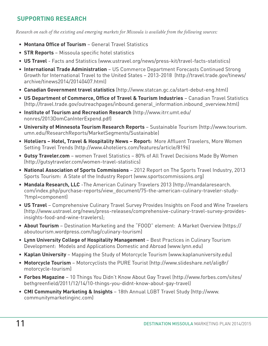## **SUPPORTING RESEARCH**

*Research on each of the existing and emerging markets for Missoula is available from the following sources:*

- **Montana Office of Tourism** General Travel Statistics
- **STR Reports** Missoula specific hotel statistics
- **US Travel** Facts and Statistics (www.ustravel.org/news/press-kit/travel-facts-statistics)
- **International Trade Administration** US Commerce Department Forecasts Continued Strong Growth for International Travel to the United States – 2013-2018 (http://travel.trade.gov/tinews/ archive/tinews2014/20140407.html)
- **Canadian Government travel statistics** (http://www.statcan.gc.ca/start-debut-eng.html)
- **US Department of Commerce, Office of Travel & Tourism Industries** Canadian Travel Statistics (http://travel.trade.gov/outreachpages/inbound.general\_information.inbound\_overview.html)
- **Institute of Tourism and Recreation Research** (http://www.itrr.umt.edu/ nonres/2013DomCanInterExpend.pdf)
- **University of Minnesota Tourism Research Reports** Sustainable Tourism (http://www.tourism. umn.edu/ResearchReports/MarketSegments/Sustainable)
- **Hoteliers Hotel, Travel & Hospitality News Report:** More Affluent Travelers, More Women Setting Travel Trends (http://www.4hoteliers.com/features/article/8196)
- **Gutsy Traveler.com** women Travel Statistics 80% of All Travel Decisions Made By Women (http://gutsytraveler.com/women-travel-statistics)
- **National Association of Sports Commissions** 2012 Report on The Sports Travel Industry, 2013 Sports Tourism: A State of the Industry Report (www.sportscommissions.org)
- **Mandala Research, LLC** -The American Culinary Travelers 2013 (http://mandalaresearch. com/index.php/purchase-reports/view\_document/75-the-american-culinary-traveler-study- ?tmpl=component)
- **US Travel** Comprehensive Culinary Travel Survey Provides Insights on Food and Wine Travelers (http://www.ustravel.org/news/press-releases/comprehensive-culinary-travel-survey-providesinsights-food-and-wine-travelers);
- **About Tourism** Destination Marketing and the "FOOD" element: A Market Overview (https:// aboutourism.wordpress.com/tag/culinary-tourism)
- **Lynn University College of Hospitality Management**  Best Practices in Culinary Tourism Development: Models and Applications Domestic and Abroad (www.lynn.edu)
- **Kaplan University** Mapping the Study of Motorcycle Tourism (www.kaplanuniversity.edu)
- **Motorcycle Tourism** Motorcyclists the PURE Tourist (http://www.slideshare.net/alig8r/ motorcycle-tourism)
- **Forbes Magazine** 10 Things You Didn't Know About Gay Travel (http://www.forbes.com/sites/ bethgreenfield/2011/12/14/10-things-you-didnt-know-about-gay-travel)
- **CMI Community Marketing & Insights** 18th Annual LGBT Travel Study (http://www. communitymarketinginc.com)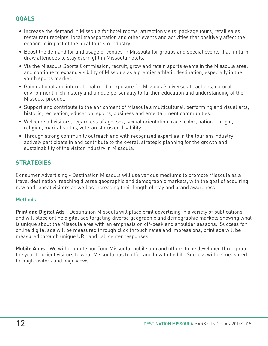## **GOALS**

- Increase the demand in Missoula for hotel rooms, attraction visits, package tours, retail sales, restaurant receipts, local transportation and other events and activities that positively affect the economic impact of the local tourism industry.
- Boost the demand for and usage of venues in Missoula for groups and special events that, in turn, draw attendees to stay overnight in Missoula hotels.
- Via the Missoula Sports Commission, recruit, grow and retain sports events in the Missoula area; and continue to expand visibility of Missoula as a premier athletic destination, especially in the youth sports market.
- Gain national and international media exposure for Missoula's diverse attractions, natural environment, rich history and unique personality to further education and understanding of the Missoula product.
- Support and contribute to the enrichment of Missoula's multicultural, performing and visual arts, historic, recreation, education, sports, business and entertainment communities.
- Welcome all visitors, regardless of age, sex, sexual orientation, race, color, national origin, religion, marital status, veteran status or disability.
- Through strong community outreach and with recognized expertise in the tourism industry, actively participate in and contribute to the overall strategic planning for the growth and sustainability of the visitor industry in Missoula.

### **STRATEGIES**

Consumer Advertising - Destination Missoula will use various mediums to promote Missoula as a travel destination, reaching diverse geographic and demographic markets, with the goal of acquiring new and repeat visitors as well as increasing their length of stay and brand awareness.

#### **Methods**

**Print and Digital Ads** - Destination Missoula will place print advertising in a variety of publications and will place online digital ads targeting diverse geographic and demographic markets showing what is unique about the Missoula area with an emphasis on off-peak and shoulder seasons. Success for online digital ads will be measured through click through rates and impressions; print ads will be measured through unique URL and call center responses.

**Mobile Apps** - We will promote our Tour Missoula mobile app and others to be developed throughout the year to orient visitors to what Missoula has to offer and how to find it. Success will be measured through visitors and page views.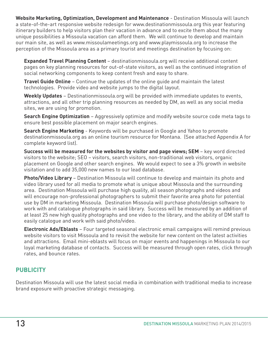**Website Marketing, Optimization, Development and Maintenance** - Destination Missoula will launch a state-of-the-art responsive website redesign for www.destinationmissoula.org this year featuring itinerary builders to help visitors plan their vacation in advance and to excite them about the many unique possibilities a Missoula vacation can afford them. We will continue to develop and maintain our main site, as well as www.missoulameetings.org and www.playmissoula.org to increase the perception of the Missoula area as a primary tourist and meetings destination by focusing on:

**Expanded Travel Planning Content** – destinationmissoula.org will receive additional content pages on key planning resources for out-of-state visitors, as well as the continued integration of social networking components to keep content fresh and easy to share.

**Travel Guide Online** – Continue the updates of the online guide and maintain the latest technologies. Provide video and website jumps to the digital layout.

**Weekly Updates** – Destinationmissoula.org will be provided with immediate updates to events, attractions, and all other trip planning resources as needed by DM, as well as any social media sites, we are using for promotion.

**Search Engine Optimization** – Aggressively optimize and modify website source code meta tags to ensure best possible placement on major search engines.

**Search Engine Marketing** - Keywords will be purchased in Google and Yahoo to promote destinationmissoula.org as an online tourism resource for Montana. (See attached Appendix A for complete keyword list).

**Success will be measured for the websites by visitor and page views; SEM** – key word directed visitors to the website; SEO – visitors, search visitors, non-traditional web visitors, organic placement on Google and other search engines. We would expect to see a 3% growth in website visitation and to add 35,000 new names to our lead database.

**Photo/Video Library** – Destination Missoula will continue to develop and maintain its photo and video library used for all media to promote what is unique about Missoula and the surrounding area. Destination Missoula will purchase high quality, all season photographs and videos and will encourage non-professional photographers to submit their favorite area photo for potential use by DM in marketing Missoula. Destination Missoula will purchase photo/design software to work with and catalogue photographs in said library. Success will be measured by an addition of at least 25 new high quality photographs and one video to the library, and the ability of DM staff to easily catalogue and work with said photo/video.

**Electronic Ads/Eblasts** – Four targeted seasonal electronic email campaigns will remind previous website visitors to visit Missoula and to revisit the website for new content on the latest activities and attractions. Email mini-eblasts will focus on major events and happenings in Missoula to our loyal marketing database of contacts. Success will be measured through open rates, click through rates, and bounce rates.

## **PUBLICITY**

Destination Missoula will use the latest social media in combination with traditional media to increase brand exposure with proactive strategic messaging.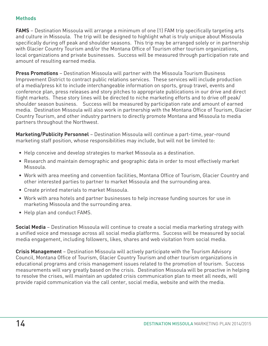#### **Methods**

**FAMS** – Destination Missoula will arrange a minimum of one (1) FAM trip specifically targeting arts and culture in Missoula. The trip will be designed to highlight what is truly unique about Missoula specifically during off peak and shoulder seasons. This trip may be arranged solely or in partnership with Glacier Country Tourism and/or the Montana Office of Tourism other tourism organizations, local organizations and private businesses. Success will be measured through participation rate and amount of resulting earned media.

**Press Promotions** – Destination Missoula will partner with the Missoula Tourism Business Improvement District to contract public relations services. These services will include production of a media/press kit to include interchangeable information on sports, group travel, events and conference plan, press releases and story pitches to appropriate publications in our drive and direct flight markets. These story lines will be directed to niche marketing efforts and to drive off peak/ shoulder season business. Success will be measured by participation rate and amount of earned media. Destination Missoula will also work in partnership with the Montana Office of Tourism, Glacier Country Tourism, and other industry partners to directly promote Montana and Missoula to media partners throughout the Northwest.

**Marketing/Publicity Personnel** – Destination Missoula will continue a part-time, year-round marketing staff position, whose responsibilities may include, but will not be limited to:

- Help conceive and develop strategies to market Missoula as a destination.
- Research and maintain demographic and geographic data in order to most effectively market Missoula.
- Work with area meeting and convention facilities, Montana Office of Tourism, Glacier Country and other interested parties to partner to market Missoula and the surrounding area.
- Create printed materials to market Missoula.
- Work with area hotels and partner businesses to help increase funding sources for use in marketing Missoula and the surrounding area.
- Help plan and conduct FAMS.

**Social Media** – Destination Missoula will continue to create a social media marketing strategy with a unified voice and message across all social media platforms. Success will be measured by social media engagement, including followers, likes, shares and web visitation from social media.

**Crisis Management** – Destination Missoula will actively participate with the Tourism Advisory Council, Montana Office of Tourism, Glacier Country Tourism and other tourism organizations in educational programs and crisis management issues related to the promotion of tourism. Success measurements will vary greatly based on the crisis. Destination Missoula will be proactive in helping to resolve the crises, will maintain an updated crisis communication plan to meet all needs, will provide rapid communication via the call center, social media, website and with the media.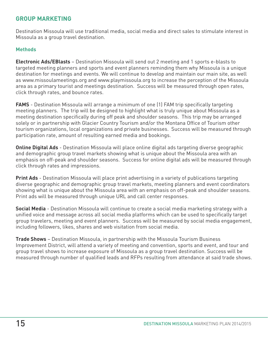#### **GROUP MARKETING**

Destination Missoula will use traditional media, social media and direct sales to stimulate interest in Missoula as a group travel destination.

#### **Methods**

**Electronic Ads/EBlasts** – Destination Missoula will send out 2 meeting and 1 sports e-blasts to targeted meeting planners and sports and event planners reminding them why Missoula is a unique destination for meetings and events. We will continue to develop and maintain our main site, as well as www.missoulameetings.org and www.playmissoula.org to increase the perception of the Missoula area as a primary tourist and meetings destination. Success will be measured through open rates, click through rates, and bounce rates.

**FAMS** - Destination Missoula will arrange a minimum of one (1) FAM trip specifically targeting meeting planners. The trip will be designed to highlight what is truly unique about Missoula as a meeting destination specifically during off peak and shoulder seasons. This trip may be arranged solely or in partnership with Glacier Country Tourism and/or the Montana Office of Tourism other tourism organizations, local organizations and private businesses. Success will be measured through participation rate, amount of resulting earned media and bookings.

**Online Digital Ads** - Destination Missoula will place online digital ads targeting diverse geographic and demographic group travel markets showing what is unique about the Missoula area with an emphasis on off-peak and shoulder seasons. Success for online digital ads will be measured through click through rates and impressions.

**Print Ads** - Destination Missoula will place print advertising in a variety of publications targeting diverse geographic and demographic group travel markets, meeting planners and event coordinators showing what is unique about the Missoula area with an emphasis on off-peak and shoulder seasons. Print ads will be measured through unique URL and call center responses.

**Social Media** - Destination Missoula will continue to create a social media marketing strategy with a unified voice and message across all social media platforms which can be used to specifically target group travelers, meeting and event planners. Success will be measured by social media engagement, including followers, likes, shares and web visitation from social media.

**Trade Shows** – Destination Missoula, in partnership with the Missoula Tourism Business Improvement District, will attend a variety of meeting and convention, sports and event, and tour and group travel shows to increase exposure of Missoula as a group travel destination. Success will be measured through number of qualified leads and RFPs resulting from attendance at said trade shows.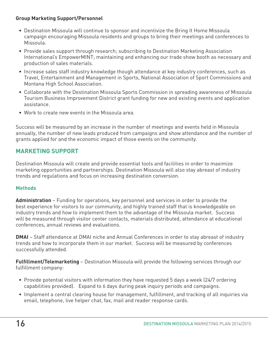#### **Group Marketing Support/Personnel**

- Destination Missoula will continue to sponsor and incentivize the Bring It Home Missoula campaign encouraging Missoula residents and groups to bring their meetings and conferences to Missoula.
- Provide sales support through research; subscribing to Destination Marketing Association International's EmpowerMINT; maintaining and enhancing our trade show booth as necessary and production of sales materials.
- Increase sales staff industry knowledge though attendance at key industry conferences, such as Travel, Entertainment and Management in Sports, National Association of Sport Commissions and Montana High School Association.
- Collaborate with the Destination Missoula Sports Commission in spreading awareness of Missoula Tourism Business Improvement District grant funding for new and existing events and application assistance.
- Work to create new events in the Missoula area.

Success will be measured by an increase in the number of meetings and events held in Missoula annually, the number of new leads produced from campaigns and show attendance and the number of grants applied for and the economic impact of those events on the community.

### **MARKETING SUPPORT**

Destination Missoula will create and provide essential tools and facilities in order to maximize marketing opportunities and partnerships. Destination Missoula will also stay abreast of industry trends and regulations and focus on increasing destination conversion.

#### **Methods**

**Administration** – Funding for operations, key personnel and services in order to provide the best experience for visitors to our community, and highly trained staff that is knowledgeable on industry trends and how to implement them to the advantage of the Missoula market. Success will be measured through visitor center contacts, materials distributed, attendance at educational conferences, annual reviews and evaluations.

**DMAI** – Staff attendance at DMAI niche and Annual Conferences in order to stay abreast of industry trends and how to incorporate them in our market. Success will be measured by conferences successfully attended.

**Fulfillment/Telemarketing** – Destination Missoula will provide the following services through our fulfillment company:

- Provide potential visitors with information they have requested 5 days a week (24/7 ordering capabilities provided). Expand to 6 days during peak inquiry periods and campaigns.
- Implement a central clearing house for management, fulfillment, and tracking of all inquiries via email, telephone, live helper chat, fax, mail and reader response cards.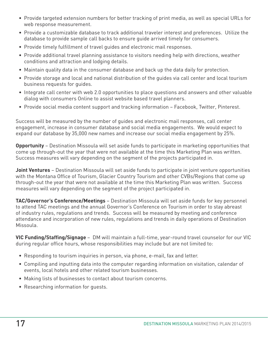- Provide targeted extension numbers for better tracking of print media, as well as special URLs for web response measurement.
- Provide a customizable database to track additional traveler interest and preferences. Utilize the database to provide sample call backs to ensure guide arrived timely for consumers.
- Provide timely fulfillment of travel guides and electronic mail responses.
- Provide additional travel planning assistance to visitors needing help with directions, weather conditions and attraction and lodging details.
- Maintain quality data in the consumer database and back up the data daily for protection.
- Provide storage and local and national distribution of the guides via call center and local tourism business requests for guides.
- Integrate call center with web 2.0 opportunities to place questions and answers and other valuable dialog with consumers Online to assist website based travel planners.
- Provide social media content support and tracking information Facebook, Twitter, Pinterest.

Success will be measured by the number of guides and electronic mail responses, call center engagement, increase in consumer database and social media engagements. We would expect to expand our database by 35,000 new names and increase our social media engagement by 25%.

**Opportunity** – Destination Missoula will set aside funds to participate in marketing opportunities that come up through-out the year that were not available at the time this Marketing Plan was written. Success measures will vary depending on the segment of the projects participated in.

**Joint Ventures** – Destination Missoula will set aside funds to participate in joint venture opportunities with the Montana Office of Tourism, Glacier Country Tourism and other CVBs/Regions that come up through-out the year that were not available at the time this Marketing Plan was written. Success measures will vary depending on the segment of the project participated in.

**TAC/Governor's Conference/Meetings** – Destination Missoula will set aside funds for key personnel to attend TAC meetings and the annual Governor's Conference on Tourism in order to stay abreast of industry rules, regulations and trends. Success will be measured by meeting and conference attendance and incorporation of new rules, regulations and trends in daily operations of Destination Missoula.

**VIC Funding/Staffing/Signage** – DM will maintain a full-time, year-round travel counselor for our VIC during regular office hours, whose responsibilities may include but are not limited to:

- Responding to tourism inquiries in person, via phone, e-mail, fax and letter.
- Compiling and inputting data into the computer regarding information on visitation, calendar of events, local hotels and other related tourism businesses.
- Making lists of businesses to contact about tourism concerns.
- Researching information for guests.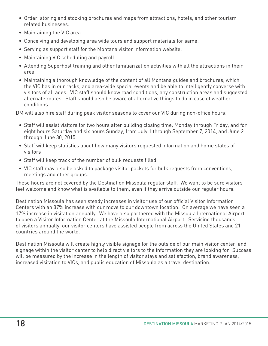- Order, storing and stocking brochures and maps from attractions, hotels, and other tourism related businesses.
- Maintaining the VIC area.
- Conceiving and developing area wide tours and support materials for same.
- Serving as support staff for the Montana visitor information website.
- Maintaining VIC scheduling and payroll.
- Attending Superhost training and other familiarization activities with all the attractions in their area.
- Maintaining a thorough knowledge of the content of all Montana guides and brochures, which the VIC has in our racks, and area-wide special events and be able to intelligently converse with visitors of all ages. VIC staff should know road conditions, any construction areas and suggested alternate routes. Staff should also be aware of alternative things to do in case of weather conditions.

DM will also hire staff during peak visitor seasons to cover our VIC during non-office hours:

- Staff will assist visitors for two hours after building closing time, Monday through Friday, and for eight hours Saturday and six hours Sunday, from July 1 through September 7, 2014, and June 2 through June 30, 2015.
- Staff will keep statistics about how many visitors requested information and home states of visitors
- Staff will keep track of the number of bulk requests filled.
- VIC staff may also be asked to package visitor packets for bulk requests from conventions, meetings and other groups.

These hours are not covered by the Destination Missoula regular staff. We want to be sure visitors feel welcome and know what is available to them, even if they arrive outside our regular hours.

Destination Missoula has seen steady increases in visitor use of our official Visitor Information Centers with an 87% increase with our move to our downtown location. On average we have seen a 17% increase in visitation annually. We have also partnered with the Missoula International Airport to open a Visitor Information Center at the Missoula International Airport. Servicing thousands of visitors annually, our visitor centers have assisted people from across the United States and 21 countries around the world.

Destination Missoula will create highly visible signage for the outside of our main visitor center, and signage within the visitor center to help direct visitors to the information they are looking for. Success will be measured by the increase in the length of visitor stays and satisfaction, brand awareness, increased visitation to VICs, and public education of Missoula as a travel destination.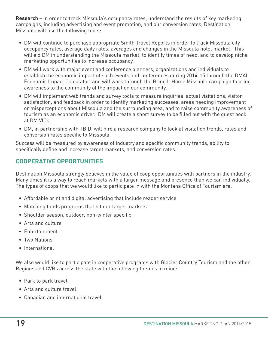**Research** – In order to track Missoula's occupancy rates, understand the results of key marketing campaigns, including advertising and event promotion, and our conversion rates, Destination Missoula will use the following tools:

- DM will continue to purchase appropriate Smith Travel Reports in order to track Missoula city occupancy rates, average daily rates, averages and changes in the Missoula hotel market. This will aid DM in understanding the Missoula market, to identify times of need, and to develop niche marketing opportunities to increase occupancy.
- DM will work with major event and conference planners, organizations and individuals to establish the economic impact of such events and conferences during 2014-15 through the DMAI Economic Impact Calculator, and will work through the Bring It Home Missoula campaign to bring awareness to the community of the impact on our community.
- DM will implement web trends and survey tools to measure inquiries, actual visitations, visitor satisfaction, and feedback in order to identify marketing successes, areas needing improvement or misperceptions about Missoula and the surrounding area, and to raise community awareness of tourism as an economic driver. DM will create a short survey to be filled out with the guest book at DM VICs.
- DM, in partnership with TBID, will hire a research company to look at visitation trends, rates and conversion rates specific to Missoula.

Success will be measured by awareness of industry and specific community trends, ability to specifically define and increase target markets, and conversion rates.

## **COOPERATIVE OPPORTUNITIES**

Destination Missoula strongly believes in the value of coop opportunities with partners in the industry. Many times it is a way to reach markets with a larger message and presence than we can individually. The types of coops that we would like to participate in with the Montana Office of Tourism are:

- Affordable print and digital advertising that include reader service
- Matching funds programs that hit our target markets
- Shoulder season, outdoor, non-winter specific
- Arts and culture
- Entertainment
- Two Nations
- International

We also would like to participate in cooperative programs with Glacier Country Tourism and the other Regions and CVBs across the state with the following themes in mind:

- Park to park travel
- Arts and culture travel
- Canadian and international travel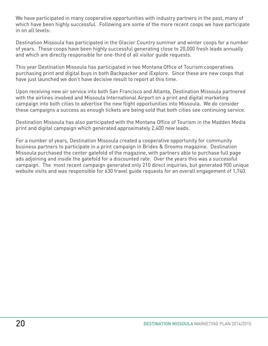We have participated in many cooperative opportunities with industry partners in the past, many of which have been highly successful. Following are some of the more recent coops we have participate in on all levels:

Destination Missoula has participated in the Glacier Country summer and winter coops for a number of years. These coops have been highly successful generating close to 20,000 fresh leads annually and which are directly responsible for one-third of all visitor guide requests.

This year Destination Missoula has participated in two Montana Office of Tourism cooperatives purchasing print and digital buys in both Backpacker and iExplore. Since these are new coops that have just launched we don't have decisive result to report at this time.

Upon receiving new air service into both San Francisco and Atlanta, Destination Missoula partnered with the airlines involved and Missoula International Airport on a print and digital marketing campaign into both cities to advertise the new flight opportunities into Missoula. We do consider these campaigns a success as enough tickets are being sold that both cities see continuing service.

Destination Missoula has also participated with the Montana Office of Tourism in the Madden Media print and digital campaign which generated approximately 2,400 new leads.

For a number of years, Destination Missoula created a cooperative opportunity for community business partners to participate in a print campaign in Brides & Grooms magazine. Destination Missoula purchased the center gatefold of the magazine, with partners able to purchase full page ads adjoining and inside the gatefold for a discounted rate. Over the years this was a successful campaign. The most recent campaign generated only 210 direct inquiries, but generated 900 unique website visits and was responsible for 630 travel guide requests for an overall engagement of 1,740.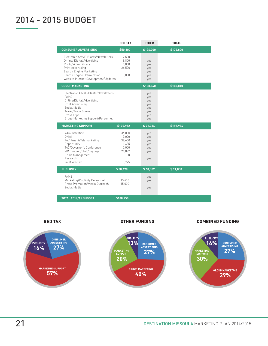# 2014 - 2015 BUDGET

|                                                                                                                                                                                                                  | <b>BED TAX</b>                                     | <b>OTHER</b>                                         | <b>TOTAL</b> |
|------------------------------------------------------------------------------------------------------------------------------------------------------------------------------------------------------------------|----------------------------------------------------|------------------------------------------------------|--------------|
| <b>CONSUMER ADVERTISING</b>                                                                                                                                                                                      | \$50,800                                           | \$126,000                                            | \$176,800    |
| Electronic Adv./E-Blasts/Newsletters<br>Online/ Digital Advertising<br>Photo/Video Library<br>Print Advertising<br>Search Engine Marketing<br>Search Engine Optimization<br>Website Internet Development/Updates | 7,500<br>9,800<br>4,000<br>26,500<br>3,000         | yes<br>yes<br>yes<br>yes<br>yes<br>yes               |              |
| <b>GROUP MARKETING</b>                                                                                                                                                                                           |                                                    | \$188,840                                            | \$188,840    |
| Electronic Adv./E-Blasts/Newsletters<br><b>FAMS</b><br>Online/Digital Advertising<br>Print Advertising<br>Social Media<br>Travel/Trade Shows<br>Press Trips<br>Group Marketing Support/Personnel                 |                                                    | yes<br>yes<br>yes<br>yes<br>yes<br>yes<br>yes<br>yes |              |
| <b>MARKETING SUPPORT</b>                                                                                                                                                                                         | \$106,952                                          | \$91,034                                             | \$197,986    |
| Administration<br><b>DMAI</b>                                                                                                                                                                                    | 36,000<br>3,000                                    | yes<br>yes                                           |              |
| Fulfillment/Telemarketing<br>Opportunity<br>TAC/Governor's Conference<br>VIC Funding/Staff/Signage<br>Crisis Management<br>Research<br>Joint Venture                                                             | 39,600<br>1,435<br>2,000<br>21,092<br>100<br>3,725 | yes<br>yes<br>yes<br>yes<br>yes                      |              |
| <b>PUBLICITY</b>                                                                                                                                                                                                 | \$30,498                                           | \$60,502                                             | \$91,000     |
| <b>FAMS</b><br>Marketing/Publicity Personnel<br>Press Promotion/Media Outreach<br>Social Media                                                                                                                   | 15,498<br>15,000                                   | yes<br>yes<br>yes                                    |              |

**BED TAX** 

#### **OTHER FUNDING**

#### **COMBINED FUNDING**

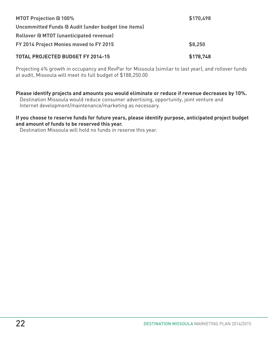| FY 2014 Project Monies moved to FY 2015<br><b>TOTAL PROJECTED BUDGET FY 2014-15</b> | \$8,250<br>\$178,748 |
|-------------------------------------------------------------------------------------|----------------------|
| <b>Rollover @ MTOT (unanticipated revenue)</b>                                      |                      |
| Uncommitted Funds @ Audit (under budget line items)                                 |                      |
| <b>MTOT Projection @ 100%</b>                                                       | \$170,498            |
|                                                                                     |                      |

Projecting 4% growth in occupancy and RevPar for Missoula (similar to last year), and rollover funds at audit, Missoula will meet its full budget of \$188,250.00

**Please identify projects and amounts you would eliminate or reduce if revenue decreases by 10%.** Destination Missoula would reduce consumer advertising, opportunity, joint venture and Internet development/maintenance/marketing as necessary.

#### **If you choose to reserve funds for future years, please identify purpose, anticipated project budget and amount of funds to be reserved this year.**

Destination Missoula will hold no funds in reserve this year.